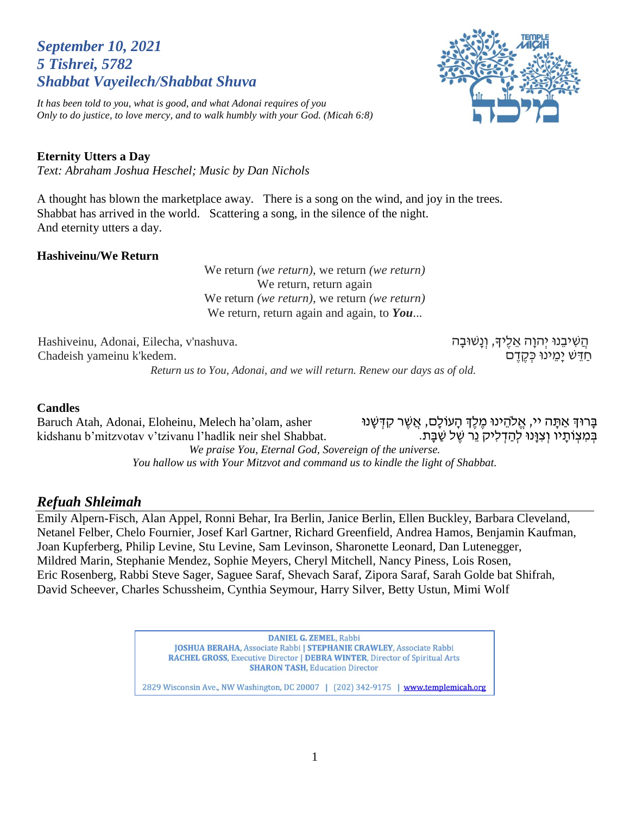# *September 10, 2021 5 Tishrei, 5782 Shabbat Vayeilech/Shabbat Shuva*

*It has been told to you, what is good, and what Adonai requires of you Only to do justice, to love mercy, and to walk humbly with your God. (Micah 6:8)*

הֲשִׁיבֵנוּ יְהוָה אֵלֶיךָ, וְנַשׁוּבָה

ּחַדֵּשׁ יַמֵינוּ כְּקֶדֶם

#### **Eternity Utters a Day**

*Text: Abraham Joshua Heschel; Music by Dan Nichols*

A thought has blown the marketplace away. There is a song on the wind, and joy in the trees. Shabbat has arrived in the world. Scattering a song, in the silence of the night. And eternity utters a day.

#### **Hashiveinu/We Return**

We return *(we return)*, we return *(we return)* We return, return again We return *(we return)*, we return *(we return)* We return, return again and again, to *You*...

Hashiveinu, Adonai, Eilecha, v'nashuva. Chadeish yameinu k'kedem.

*Return us to You, Adonai, and we will return. Renew our days as of old.*

#### **Candles**

Baruch Atah, Adonai, Eloheinu, Melech ha'olam, asher kidshanu b'mitzvotav v'tzivanu l'hadlik neir shel Shabbat. ַבְּרוּךְ אַתֲה יי, אֱלֹהֱינוּ מֶלֶךְ הַעוֹלָם, אֲשֶׁר קִדְּשָׁנוּ בְּמְצִוֹתַיו וְצְוַּנוּ לְהַדְלִיק נֵר שֵׁל שַׁבַּת. *We praise You, Eternal God, Sovereign of the universe. You hallow us with Your Mitzvot and command us to kindle the light of Shabbat.*

#### *Refuah Shleimah*

Emily Alpern-Fisch, Alan Appel, Ronni Behar, Ira Berlin, Janice Berlin, Ellen Buckley, Barbara Cleveland, Netanel Felber, Chelo Fournier, Josef Karl Gartner, Richard Greenfield, Andrea Hamos, Benjamin Kaufman, Joan Kupferberg, Philip Levine, Stu Levine, Sam Levinson, Sharonette Leonard, Dan Lutenegger, Mildred Marin, Stephanie Mendez, Sophie Meyers, Cheryl Mitchell, Nancy Piness, Lois Rosen, Eric Rosenberg, Rabbi Steve Sager, Saguee Saraf, Shevach Saraf, Zipora Saraf, Sarah Golde bat Shifrah, David Scheever, Charles Schussheim, Cynthia Seymour, Harry Silver, Betty Ustun, Mimi Wolf

> **DANIEL G. ZEMEL, Rabbi** JOSHUA BERAHA, Associate Rabbi | STEPHANIE CRAWLEY, Associate Rabbi **RACHEL GROSS, Executive Director | DEBRA WINTER, Director of Spiritual Arts SHARON TASH, Education Director** 2829 Wisconsin Ave., NW Washington, DC 20007 | (202) 342-9175 | www.templemicah.org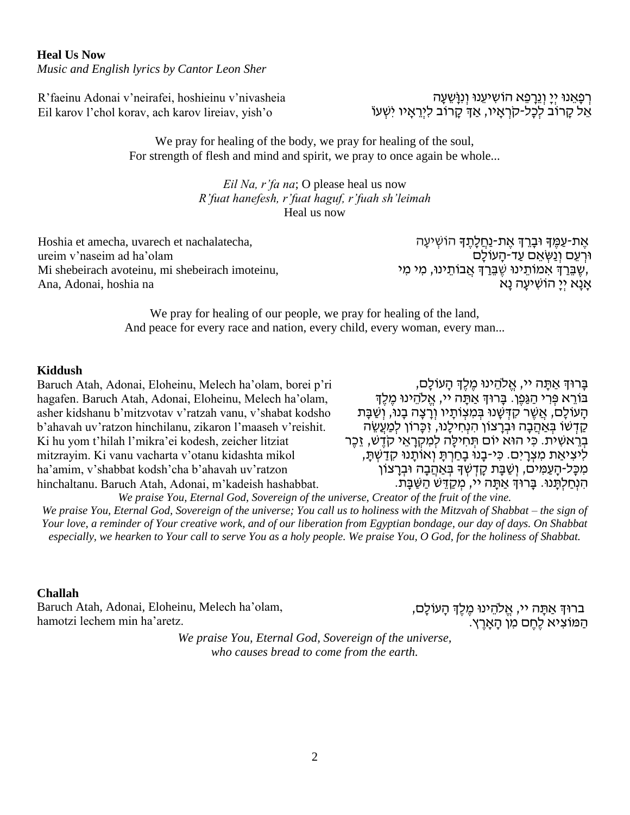**Heal Us Now** *Music and English lyrics by Cantor Leon Sher*

R'faeinu Adonai v'neirafei, hoshieinu v'nivasheia Eil karov l'chol korav, ach karov lireiav, yish'o

## ּרְפָאֵנוּ יְיָ וְנֵרָפֵא הוֹשִׁיעֵנוּ וְנִוָּשֵׁעָה אֵל קָרוֹב לְכָל-קֹרְאָיו, אַךְ קָרוֹב לִיְרֵאָיו יִשְׁעוֹ

We pray for healing of the body, we pray for healing of the soul, For strength of flesh and mind and spirit, we pray to once again be whole...

#### *Eil Na, r'fa na*; O please heal us now *R'fuat hanefesh, r'fuat haguf, r'fuah sh'leimah* Heal us now

Hoshia et amecha, uvarech et nachalatecha, ureim v'naseim ad ha'olam Mi shebeirach avoteinu, mi shebeirach imoteinu, Ana, Adonai, hoshia na

ּאֶת-עַמֶּךָ וּבָרֵךְ אֶת-נַחֲלָתֶךָ הוֹשְׁיעָה ּוּרְעֵם וְנַשְּׂאֵם עַד-הָעוֹלָם ְשֶׁ בֵּרַךְ אִמֹוֹתֵינוּ שֶׁבֵּרַךְ אֲבוֹתֵינוּ, מִי מִי, אַנַא יִיַ הוֹשִׁיעַה נַא

We pray for healing of our people, we pray for healing of the land, And peace for every race and nation, every child, every woman, every man...

#### **Kiddush**

Baruch Atah, Adonai, Eloheinu, Melech ha'olam, borei p'ri hagafen. Baruch Atah, Adonai, Eloheinu, Melech ha'olam, asher kidshanu b'mitzvotav v'ratzah vanu, v'shabat kodsho b'ahavah uv'ratzon hinchilanu, zikaron l'maaseh v'reishit. Ki hu yom t'hilah l'mikra'ei kodesh, zeicher litziat mitzrayim. Ki vanu vacharta v'otanu kidashta mikol ha'amim, v'shabbat kodsh'cha b'ahavah uv'ratzon hinchaltanu. Baruch Atah, Adonai, m'kadeish hashabbat.

בָרוּךְ אַתָּה יי, אֱלֹהֵינוּ מֵלֵךְ הָעוֹלָם, בּוֹרֵא פִּרְי הַגַּפֵן. בַּרוּךְ אַתַּה יי, אֱלֹהֵינוּ מֶלֶךְ הַעוֹלָם, אֲשֶׁר קִדְּשָׁנוּ בְּמִצְוֹתַיו וְרַצָה בָנוּ, וְשַׁבָּת קַדְשׁוֹ בְּאַהֲבָה וּבְרַצוֹן הִנְחִילֵנוּ, זִכֲרוֹן לִמַעֲשֶׂה בְרֵאשִׁית. כִּי הוּא יוֹם תְּחִילָה לִמְקְרָאֵי קֹדֵשׁ, זֶכֶר לִיצִיאַת מִצְרַיִם. כִּי-בָנוּ בַחַרְתַּ וְאוֹתֲנוּ קִדַשְׁתַּ, ֹמְכָּל-הָעַמִּים, וְשַׁבָּת קָדְשְׁךָ בְּאַהֲבָה וּבִרָצוֹן הִׁ נְחַ לְתָ נּו. בָרּוְך אַ תָ ה יי, מְ קַ דֵ ש הַ שַ בָ ת.

*We praise You, Eternal God, Sovereign of the universe, Creator of the fruit of the vine. We praise You, Eternal God, Sovereign of the universe; You call us to holiness with the Mitzvah of Shabbat – the sign of Your love, a reminder of Your creative work, and of our liberation from Egyptian bondage, our day of days. On Shabbat especially, we hearken to Your call to serve You as a holy people. We praise You, O God, for the holiness of Shabbat.*

#### **Challah**

Baruch Atah, Adonai, Eloheinu, Melech ha'olam, hamotzi lechem min ha'aretz.

ברוּךְ אַתָּה יי, אֱלֹהֵינוּ מֶלֶךְ הָעוֹלָם, הַ מֹוצִׁ יא לֶחֶ ם מִׁ ן הָ אָ רֶ ץ.

*We praise You, Eternal God, Sovereign of the universe, who causes bread to come from the earth.*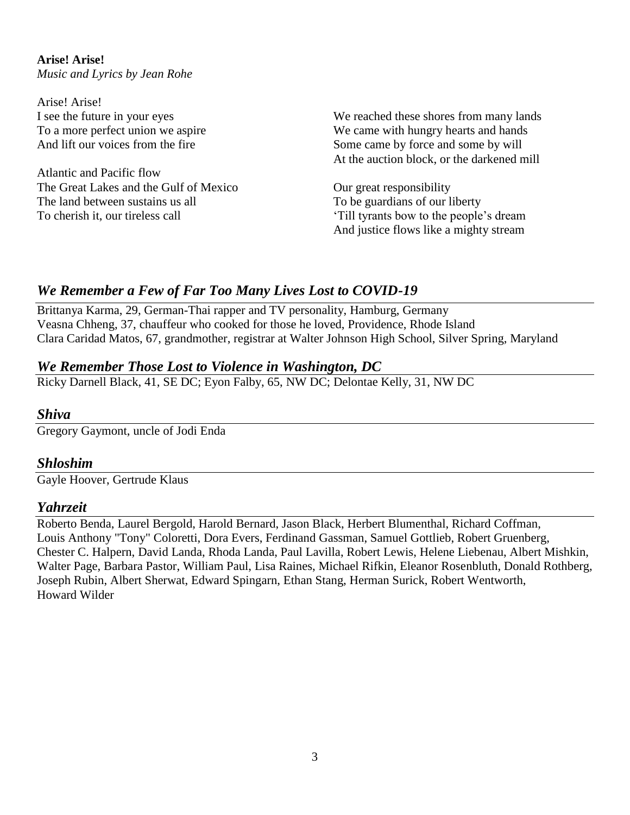**Arise! Arise!**  *Music and Lyrics by Jean Rohe*

Arise! Arise! I see the future in your eyes To a more perfect union we aspire And lift our voices from the fire

Atlantic and Pacific flow The Great Lakes and the Gulf of Mexico The land between sustains us all To cherish it, our tireless call

We reached these shores from many lands We came with hungry hearts and hands Some came by force and some by will At the auction block, or the darkened mill

Our great responsibility To be guardians of our liberty 'Till tyrants bow to the people's dream And justice flows like a mighty stream

# *We Remember a Few of Far Too Many Lives Lost to COVID-19*

Brittanya Karma, 29, German-Thai rapper and TV personality, Hamburg, Germany Veasna Chheng, 37, chauffeur who cooked for those he loved, Providence, Rhode Island Clara Caridad Matos, 67, grandmother, registrar at Walter Johnson High School, Silver Spring, Maryland

## *We Remember Those Lost to Violence in Washington, DC*

Ricky Darnell Black, 41, SE DC; Eyon Falby, 65, NW DC; Delontae Kelly, 31, NW DC

## *Shiva*

Gregory Gaymont, uncle of Jodi Enda

## *Shloshim*

Gayle Hoover, Gertrude Klaus

## *Yahrzeit*

Roberto Benda, Laurel Bergold, Harold Bernard, Jason Black, Herbert Blumenthal, Richard Coffman, Louis Anthony "Tony" Coloretti, Dora Evers, Ferdinand Gassman, Samuel Gottlieb, Robert Gruenberg, Chester C. Halpern, David Landa, Rhoda Landa, Paul Lavilla, Robert Lewis, Helene Liebenau, Albert Mishkin, Walter Page, Barbara Pastor, William Paul, Lisa Raines, Michael Rifkin, Eleanor Rosenbluth, Donald Rothberg, Joseph Rubin, Albert Sherwat, Edward Spingarn, Ethan Stang, Herman Surick, Robert Wentworth, Howard Wilder